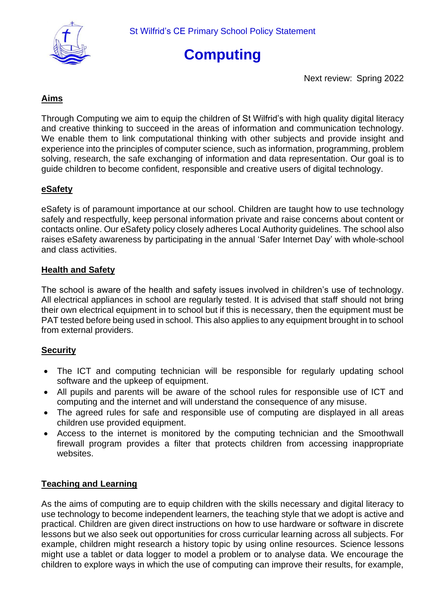



Next review: Spring 2022

## **Aims**

Through Computing we aim to equip the children of St Wilfrid's with high quality digital literacy and creative thinking to succeed in the areas of information and communication technology. We enable them to link computational thinking with other subjects and provide insight and experience into the principles of computer science, such as information, programming, problem solving, research, the safe exchanging of information and data representation. Our goal is to guide children to become confident, responsible and creative users of digital technology.

## **eSafety**

eSafety is of paramount importance at our school. Children are taught how to use technology safely and respectfully, keep personal information private and raise concerns about content or contacts online. Our eSafety policy closely adheres Local Authority guidelines. The school also raises eSafety awareness by participating in the annual 'Safer Internet Day' with whole-school and class activities.

## **Health and Safety**

The school is aware of the health and safety issues involved in children's use of technology. All electrical appliances in school are regularly tested. It is advised that staff should not bring their own electrical equipment in to school but if this is necessary, then the equipment must be PAT tested before being used in school. This also applies to any equipment brought in to school from external providers.

#### **Security**

- The ICT and computing technician will be responsible for regularly updating school software and the upkeep of equipment.
- All pupils and parents will be aware of the school rules for responsible use of ICT and computing and the internet and will understand the consequence of any misuse.
- The agreed rules for safe and responsible use of computing are displayed in all areas children use provided equipment.
- Access to the internet is monitored by the computing technician and the Smoothwall firewall program provides a filter that protects children from accessing inappropriate websites.

#### **Teaching and Learning**

As the aims of computing are to equip children with the skills necessary and digital literacy to use technology to become independent learners, the teaching style that we adopt is active and practical. Children are given direct instructions on how to use hardware or software in discrete lessons but we also seek out opportunities for cross curricular learning across all subjects. For example, children might research a history topic by using online resources. Science lessons might use a tablet or data logger to model a problem or to analyse data. We encourage the children to explore ways in which the use of computing can improve their results, for example,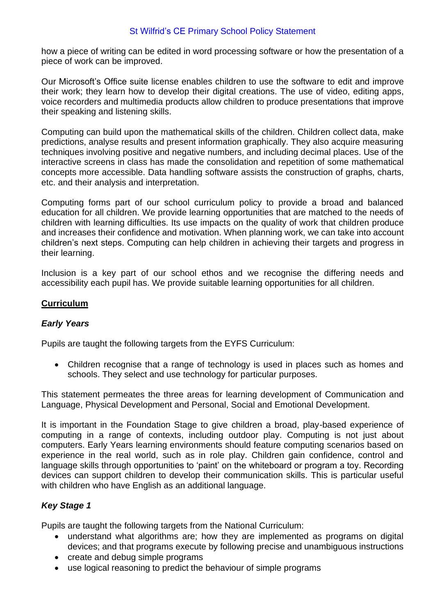### St Wilfrid's CE Primary School Policy Statement

how a piece of writing can be edited in word processing software or how the presentation of a piece of work can be improved.

Our Microsoft's Office suite license enables children to use the software to edit and improve their work; they learn how to develop their digital creations. The use of video, editing apps, voice recorders and multimedia products allow children to produce presentations that improve their speaking and listening skills.

Computing can build upon the mathematical skills of the children. Children collect data, make predictions, analyse results and present information graphically. They also acquire measuring techniques involving positive and negative numbers, and including decimal places. Use of the interactive screens in class has made the consolidation and repetition of some mathematical concepts more accessible. Data handling software assists the construction of graphs, charts, etc. and their analysis and interpretation.

Computing forms part of our school curriculum policy to provide a broad and balanced education for all children. We provide learning opportunities that are matched to the needs of children with learning difficulties. Its use impacts on the quality of work that children produce and increases their confidence and motivation. When planning work, we can take into account children's next steps. Computing can help children in achieving their targets and progress in their learning.

Inclusion is a key part of our school ethos and we recognise the differing needs and accessibility each pupil has. We provide suitable learning opportunities for all children.

## **Curriculum**

#### *Early Years*

Pupils are taught the following targets from the EYFS Curriculum:

• Children recognise that a range of technology is used in places such as homes and schools. They select and use technology for particular purposes.

This statement permeates the three areas for learning development of Communication and Language, Physical Development and Personal, Social and Emotional Development.

It is important in the Foundation Stage to give children a broad, play-based experience of computing in a range of contexts, including outdoor play. Computing is not just about computers. Early Years learning environments should feature computing scenarios based on experience in the real world, such as in role play. Children gain confidence, control and language skills through opportunities to 'paint' on the whiteboard or program a toy. Recording devices can support children to develop their communication skills. This is particular useful with children who have English as an additional language.

#### *Key Stage 1*

Pupils are taught the following targets from the National Curriculum:

- understand what algorithms are; how they are implemented as programs on digital devices; and that programs execute by following precise and unambiguous instructions
- create and debug simple programs
- use logical reasoning to predict the behaviour of simple programs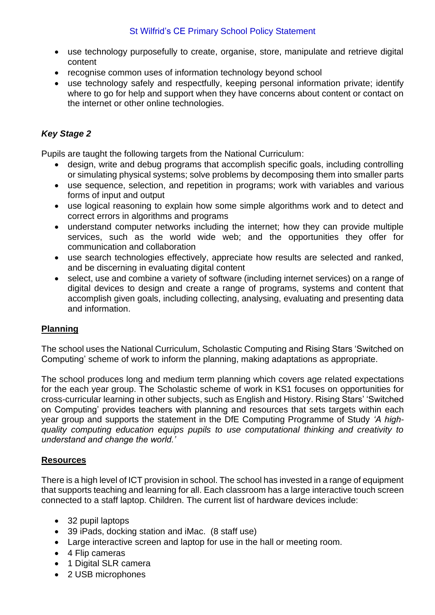- use technology purposefully to create, organise, store, manipulate and retrieve digital content
- recognise common uses of information technology beyond school
- use technology safely and respectfully, keeping personal information private; identify where to go for help and support when they have concerns about content or contact on the internet or other online technologies.

# *Key Stage 2*

Pupils are taught the following targets from the National Curriculum:

- design, write and debug programs that accomplish specific goals, including controlling or simulating physical systems; solve problems by decomposing them into smaller parts
- use sequence, selection, and repetition in programs; work with variables and various forms of input and output
- use logical reasoning to explain how some simple algorithms work and to detect and correct errors in algorithms and programs
- understand computer networks including the internet; how they can provide multiple services, such as the world wide web; and the opportunities they offer for communication and collaboration
- use search technologies effectively, appreciate how results are selected and ranked, and be discerning in evaluating digital content
- select, use and combine a variety of software (including internet services) on a range of digital devices to design and create a range of programs, systems and content that accomplish given goals, including collecting, analysing, evaluating and presenting data and information.

## **Planning**

The school uses the National Curriculum, Scholastic Computing and Rising Stars 'Switched on Computing' scheme of work to inform the planning, making adaptations as appropriate.

The school produces long and medium term planning which covers age related expectations for the each year group. The Scholastic scheme of work in KS1 focuses on opportunities for cross-curricular learning in other subjects, such as English and History. Rising Stars' 'Switched on Computing' provides teachers with planning and resources that sets targets within each year group and supports the statement in the DfE Computing Programme of Study *'A highquality computing education equips pupils to use computational thinking and creativity to understand and change the world.'*

#### **Resources**

There is a high level of ICT provision in school. The school has invested in a range of equipment that supports teaching and learning for all. Each classroom has a large interactive touch screen connected to a staff laptop. Children. The current list of hardware devices include:

- 32 pupil laptops
- 39 iPads, docking station and iMac. (8 staff use)
- Large interactive screen and laptop for use in the hall or meeting room.
- 4 Flip cameras
- 1 Digital SLR camera
- 2 USB microphones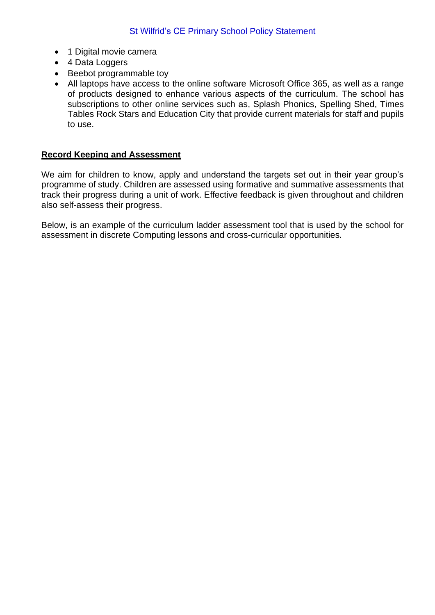- 1 Digital movie camera
- 4 Data Loggers
- Beebot programmable toy
- All laptops have access to the online software Microsoft Office 365, as well as a range of products designed to enhance various aspects of the curriculum. The school has subscriptions to other online services such as, Splash Phonics, Spelling Shed, Times Tables Rock Stars and Education City that provide current materials for staff and pupils to use.

#### **Record Keeping and Assessment**

We aim for children to know, apply and understand the targets set out in their year group's programme of study. Children are assessed using formative and summative assessments that track their progress during a unit of work. Effective feedback is given throughout and children also self-assess their progress.

Below, is an example of the curriculum ladder assessment tool that is used by the school for assessment in discrete Computing lessons and cross-curricular opportunities.